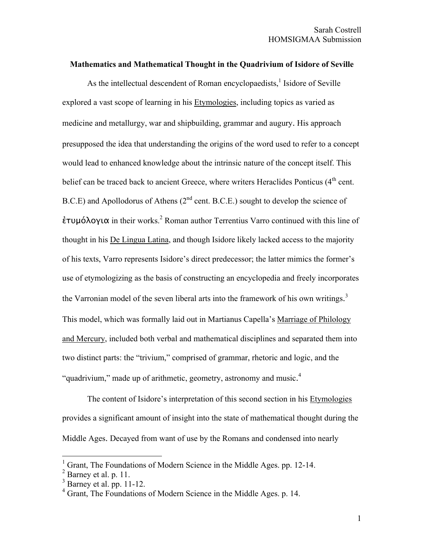## **Mathematics and Mathematical Thought in the Quadrivium of Isidore of Seville**

As the intellectual descendent of Roman encyclopaedists, $<sup>1</sup>$  Isidore of Seville</sup> explored a vast scope of learning in his Etymologies, including topics as varied as medicine and metallurgy, war and shipbuilding, grammar and augury. His approach presupposed the idea that understanding the origins of the word used to refer to a concept would lead to enhanced knowledge about the intrinsic nature of the concept itself. This belief can be traced back to ancient Greece, where writers Heraclides Ponticus  $(4<sup>th</sup>$  cent. B.C.E) and Apollodorus of Athens  $(2^{nd}$  cent. B.C.E.) sought to develop the science of  $\epsilon$ τυμόλογια in their works.<sup>2</sup> Roman author Terrentius Varro continued with this line of thought in his De Lingua Latina, and though Isidore likely lacked access to the majority of his texts, Varro represents Isidore's direct predecessor; the latter mimics the former's use of etymologizing as the basis of constructing an encyclopedia and freely incorporates the Varronian model of the seven liberal arts into the framework of his own writings.<sup>3</sup> This model, which was formally laid out in Martianus Capella's Marriage of Philology and Mercury, included both verbal and mathematical disciplines and separated them into two distinct parts: the "trivium," comprised of grammar, rhetoric and logic, and the "quadrivium," made up of arithmetic, geometry, astronomy and music.<sup>4</sup>

The content of Isidore's interpretation of this second section in his Etymologies provides a significant amount of insight into the state of mathematical thought during the Middle Ages. Decayed from want of use by the Romans and condensed into nearly

 <sup>1</sup> Grant, The Foundations of Modern Science in the Middle Ages. pp. 12-14.

 $<sup>2</sup>$  Barney et al. p. 11.</sup>

 $3$  Barney et al. pp. 11-12.

<sup>&</sup>lt;sup>4</sup> Grant, The Foundations of Modern Science in the Middle Ages. p. 14.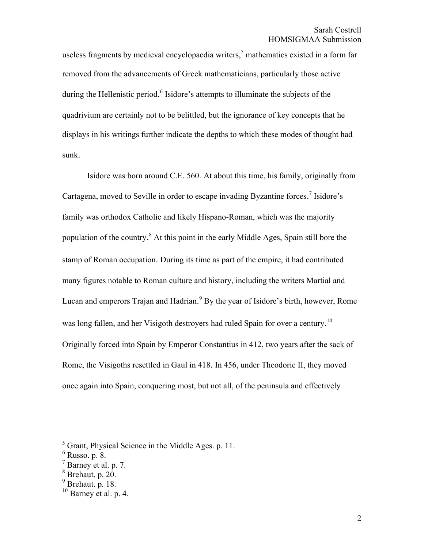useless fragments by medieval encyclopaedia writers,<sup>5</sup> mathematics existed in a form far removed from the advancements of Greek mathematicians, particularly those active during the Hellenistic period.<sup>6</sup> Isidore's attempts to illuminate the subjects of the quadrivium are certainly not to be belittled, but the ignorance of key concepts that he displays in his writings further indicate the depths to which these modes of thought had sunk.

Isidore was born around C.E. 560. At about this time, his family, originally from Cartagena, moved to Seville in order to escape invading Byzantine forces.<sup>7</sup> Isidore's family was orthodox Catholic and likely Hispano-Roman, which was the majority population of the country.<sup>8</sup> At this point in the early Middle Ages, Spain still bore the stamp of Roman occupation. During its time as part of the empire, it had contributed many figures notable to Roman culture and history, including the writers Martial and Lucan and emperors Trajan and Hadrian.<sup>9</sup> By the year of Isidore's birth, however, Rome was long fallen, and her Visigoth destroyers had ruled Spain for over a century.<sup>10</sup> Originally forced into Spain by Emperor Constantius in 412, two years after the sack of Rome, the Visigoths resettled in Gaul in 418. In 456, under Theodoric II, they moved once again into Spain, conquering most, but not all, of the peninsula and effectively

 $\frac{1}{5}$ Grant, Physical Science in the Middle Ages. p. 11.

<sup>6</sup> Russo. p. 8.

<sup>7</sup> Barney et al. p. 7.

 $8$  Brehaut. p.  $20$ .

<sup>9</sup> Brehaut. p. 18.

 $10$  Barney et al. p. 4.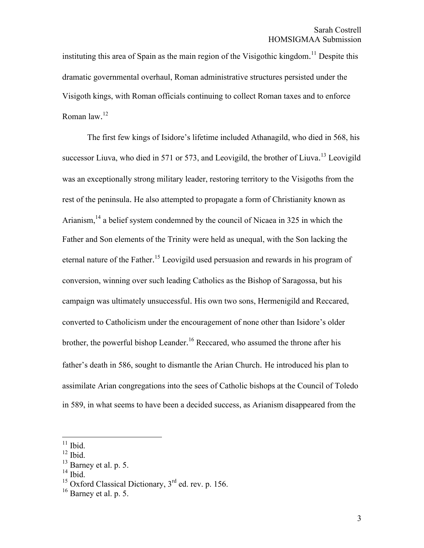instituting this area of Spain as the main region of the Visigothic kingdom.<sup>11</sup> Despite this dramatic governmental overhaul, Roman administrative structures persisted under the Visigoth kings, with Roman officials continuing to collect Roman taxes and to enforce Roman law. 12

The first few kings of Isidore's lifetime included Athanagild, who died in 568, his successor Liuva, who died in 571 or 573, and Leovigild, the brother of Liuva.<sup>13</sup> Leovigild was an exceptionally strong military leader, restoring territory to the Visigoths from the rest of the peninsula. He also attempted to propagate a form of Christianity known as Arianism, $14$  a belief system condemned by the council of Nicaea in 325 in which the Father and Son elements of the Trinity were held as unequal, with the Son lacking the eternal nature of the Father.<sup>15</sup> Leovigild used persuasion and rewards in his program of conversion, winning over such leading Catholics as the Bishop of Saragossa, but his campaign was ultimately unsuccessful. His own two sons, Hermenigild and Reccared, converted to Catholicism under the encouragement of none other than Isidore's older brother, the powerful bishop Leander.<sup>16</sup> Reccared, who assumed the throne after his father's death in 586, sought to dismantle the Arian Church. He introduced his plan to assimilate Arian congregations into the sees of Catholic bishops at the Council of Toledo in 589, in what seems to have been a decided success, as Arianism disappeared from the

 $11$  Ibid.

 $^{12}$  Ibid.

 $13$  Barney et al. p. 5.

 $14$  Ibid.

<sup>&</sup>lt;sup>15</sup> Oxford Classical Dictionary,  $3<sup>rd</sup>$  ed. rev. p. 156.

 $16$  Barney et al. p. 5.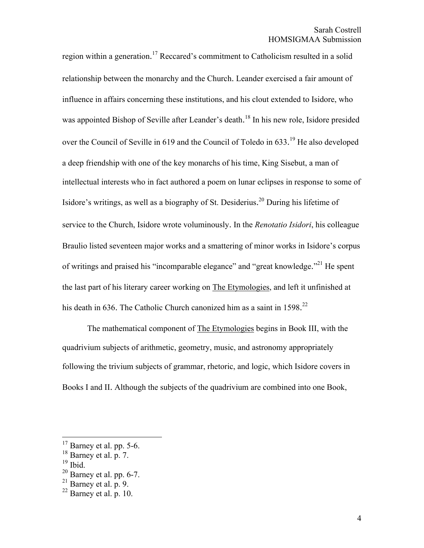region within a generation.<sup>17</sup> Reccared's commitment to Catholicism resulted in a solid relationship between the monarchy and the Church. Leander exercised a fair amount of influence in affairs concerning these institutions, and his clout extended to Isidore, who was appointed Bishop of Seville after Leander's death.<sup>18</sup> In his new role, Isidore presided over the Council of Seville in 619 and the Council of Toledo in 633.<sup>19</sup> He also developed a deep friendship with one of the key monarchs of his time, King Sisebut, a man of intellectual interests who in fact authored a poem on lunar eclipses in response to some of Isidore's writings, as well as a biography of St. Desiderius.<sup>20</sup> During his lifetime of service to the Church, Isidore wrote voluminously. In the *Renotatio Isidori*, his colleague Braulio listed seventeen major works and a smattering of minor works in Isidore's corpus of writings and praised his "incomparable elegance" and "great knowledge."<sup>21</sup> He spent the last part of his literary career working on The Etymologies, and left it unfinished at his death in 636. The Catholic Church canonized him as a saint in 1598.<sup>22</sup>

The mathematical component of The Etymologies begins in Book III, with the quadrivium subjects of arithmetic, geometry, music, and astronomy appropriately following the trivium subjects of grammar, rhetoric, and logic, which Isidore covers in Books I and II. Although the subjects of the quadrivium are combined into one Book,

 $17$  Barney et al. pp. 5-6.

<sup>18</sup> Barney et al. p. 7.

 $19$  Ibid.

 $20$  Barney et al. pp. 6-7.

 $^{21}$  Barney et al. p. 9.

 $^{22}$  Barney et al. p. 10.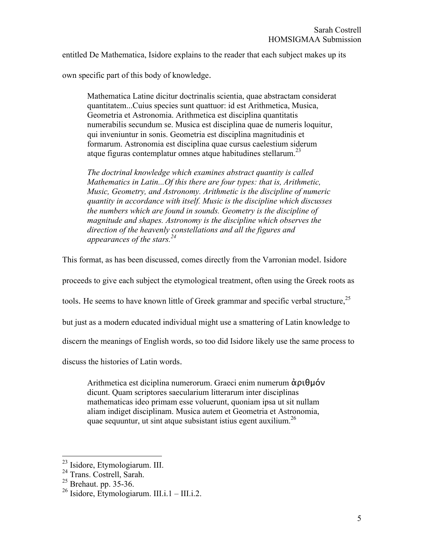entitled De Mathematica, Isidore explains to the reader that each subject makes up its

own specific part of this body of knowledge.

Mathematica Latine dicitur doctrinalis scientia, quae abstractam considerat quantitatem...Cuius species sunt quattuor: id est Arithmetica, Musica, Geometria et Astronomia. Arithmetica est disciplina quantitatis numerabilis secundum se. Musica est disciplina quae de numeris loquitur, qui inveniuntur in sonis. Geometria est disciplina magnitudinis et formarum. Astronomia est disciplina quae cursus caelestium siderum atque figuras contemplatur omnes atque habitudines stellarum.<sup>23</sup>

*The doctrinal knowledge which examines abstract quantity is called Mathematics in Latin...Of this there are four types: that is, Arithmetic, Music, Geometry, and Astronomy. Arithmetic is the discipline of numeric quantity in accordance with itself. Music is the discipline which discusses the numbers which are found in sounds. Geometry is the discipline of magnitude and shapes. Astronomy is the discipline which observes the direction of the heavenly constellations and all the figures and appearances of the stars.24*

This format, as has been discussed, comes directly from the Varronian model. Isidore

proceeds to give each subject the etymological treatment, often using the Greek roots as

tools. He seems to have known little of Greek grammar and specific verbal structure,<sup>25</sup>

but just as a modern educated individual might use a smattering of Latin knowledge to

discern the meanings of English words, so too did Isidore likely use the same process to

discuss the histories of Latin words.

Arithmetica est diciplina numerorum. Graeci enim numerum ἀριθμόν dicunt. Quam scriptores saecularium litterarum inter disciplinas mathematicas ideo primam esse voluerunt, quoniam ipsa ut sit nullam aliam indiget disciplinam. Musica autem et Geometria et Astronomia, quae sequuntur, ut sint atque subsistant istius egent auxilium.<sup>26</sup>

 <sup>23</sup> Isidore, Etymologiarum. III.

<sup>&</sup>lt;sup>24</sup> Trans. Costrell, Sarah.

 $^{25}$  Brehaut. pp. 35-36.

 $^{26}$  Isidore, Etymologiarum. III.i.1 – III.i.2.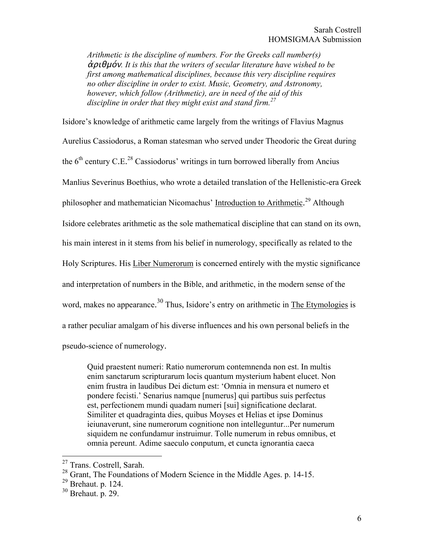*Arithmetic is the discipline of numbers. For the Greeks call number(s)*  ἀριθμόν*. It is this that the writers of secular literature have wished to be first among mathematical disciplines, because this very discipline requires no other discipline in order to exist. Music, Geometry, and Astronomy, however, which follow (Arithmetic), are in need of the aid of this discipline in order that they might exist and stand firm.27*

Isidore's knowledge of arithmetic came largely from the writings of Flavius Magnus Aurelius Cassiodorus, a Roman statesman who served under Theodoric the Great during the  $6<sup>th</sup>$  century C.E.<sup>28</sup> Cassiodorus' writings in turn borrowed liberally from Ancius Manlius Severinus Boethius, who wrote a detailed translation of the Hellenistic-era Greek philosopher and mathematician Nicomachus' Introduction to Arithmetic.<sup>29</sup> Although Isidore celebrates arithmetic as the sole mathematical discipline that can stand on its own, his main interest in it stems from his belief in numerology, specifically as related to the Holy Scriptures. His Liber Numerorum is concerned entirely with the mystic significance and interpretation of numbers in the Bible, and arithmetic, in the modern sense of the word, makes no appearance.<sup>30</sup> Thus, Isidore's entry on arithmetic in The Etymologies is a rather peculiar amalgam of his diverse influences and his own personal beliefs in the pseudo-science of numerology.

Quid praestent numeri: Ratio numerorum contemnenda non est. In multis enim sanctarum scripturarum locis quantum mysterium habent elucet. Non enim frustra in laudibus Dei dictum est: 'Omnia in mensura et numero et pondere fecisti.' Senarius namque [numerus] qui partibus suis perfectus est, perfectionem mundi quadam numeri [sui] significatione declarat. Similiter et quadraginta dies, quibus Moyses et Helias et ipse Dominus ieiunaverunt, sine numerorum cognitione non intelleguntur...Per numerum siquidem ne confundamur instruimur. Tolle numerum in rebus omnibus, et omnia pereunt. Adime saeculo conputum, et cuncta ignorantia caeca

 <sup>27</sup> Trans. Costrell, Sarah.

<sup>&</sup>lt;sup>28</sup> Grant, The Foundations of Modern Science in the Middle Ages. p. 14-15.

 $29$  Brehaut. p. 124.

 $30$  Brehaut. p. 29.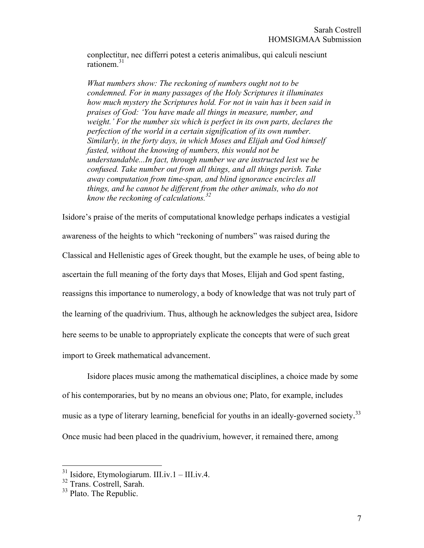conplectitur, nec differri potest a ceteris animalibus, qui calculi nesciunt rationem.<sup>31</sup>

*What numbers show: The reckoning of numbers ought not to be condemned. For in many passages of the Holy Scriptures it illuminates how much mystery the Scriptures hold. For not in vain has it been said in praises of God: 'You have made all things in measure, number, and weight.' For the number six which is perfect in its own parts, declares the perfection of the world in a certain signification of its own number. Similarly, in the forty days, in which Moses and Elijah and God himself fasted, without the knowing of numbers, this would not be understandable...In fact, through number we are instructed lest we be confused. Take number out from all things, and all things perish. Take away computation from time-span, and blind ignorance encircles all things, and he cannot be different from the other animals, who do not know the reckoning of calculations.<sup>32</sup>*

Isidore's praise of the merits of computational knowledge perhaps indicates a vestigial awareness of the heights to which "reckoning of numbers" was raised during the Classical and Hellenistic ages of Greek thought, but the example he uses, of being able to ascertain the full meaning of the forty days that Moses, Elijah and God spent fasting, reassigns this importance to numerology, a body of knowledge that was not truly part of the learning of the quadrivium. Thus, although he acknowledges the subject area, Isidore here seems to be unable to appropriately explicate the concepts that were of such great import to Greek mathematical advancement.

Isidore places music among the mathematical disciplines, a choice made by some of his contemporaries, but by no means an obvious one; Plato, for example, includes music as a type of literary learning, beneficial for youths in an ideally-governed society.<sup>33</sup> Once music had been placed in the quadrivium, however, it remained there, among

 $31$  Isidore, Etymologiarum. III.iv.1 – III.iv.4.

<sup>32</sup> Trans. Costrell, Sarah.

 $33$  Plato. The Republic.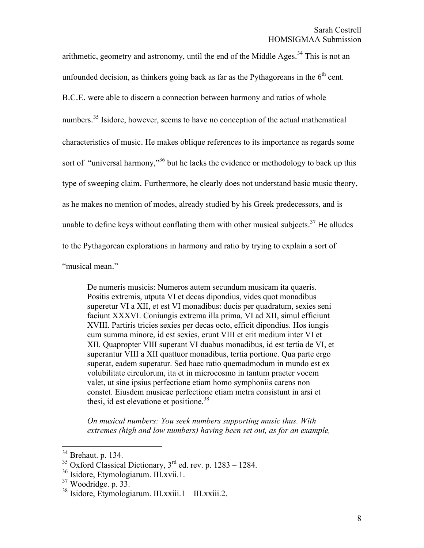arithmetic, geometry and astronomy, until the end of the Middle Ages.<sup>34</sup> This is not an

unfounded decision, as thinkers going back as far as the Pythagoreans in the  $6<sup>th</sup>$  cent.

B.C.E. were able to discern a connection between harmony and ratios of whole

numbers.<sup>35</sup> Isidore, however, seems to have no conception of the actual mathematical

characteristics of music. He makes oblique references to its importance as regards some

sort of "universal harmony,"<sup>36</sup> but he lacks the evidence or methodology to back up this

type of sweeping claim. Furthermore, he clearly does not understand basic music theory,

as he makes no mention of modes, already studied by his Greek predecessors, and is

unable to define keys without conflating them with other musical subjects.<sup>37</sup> He alludes

to the Pythagorean explorations in harmony and ratio by trying to explain a sort of

"musical mean."

De numeris musicis: Numeros autem secundum musicam ita quaeris. Positis extremis, utputa VI et decas dipondius, vides quot monadibus superetur VI a XII, et est VI monadibus: ducis per quadratum, sexies seni faciunt XXXVI. Coniungis extrema illa prima, VI ad XII, simul efficiunt XVIII. Partiris tricies sexies per decas octo, efficit dipondius. Hos iungis cum summa minore, id est sexies, erunt VIII et erit medium inter VI et XII. Quapropter VIII superant VI duabus monadibus, id est tertia de VI, et superantur VIII a XII quattuor monadibus, tertia portione. Qua parte ergo superat, eadem superatur. Sed haec ratio quemadmodum in mundo est ex volubilitate circulorum, ita et in microcosmo in tantum praeter vocem valet, ut sine ipsius perfectione etiam homo symphoniis carens non constet. Eiusdem musicae perfectione etiam metra consistunt in arsi et thesi, id est elevatione et positione.<sup>38</sup>

*On musical numbers: You seek numbers supporting music thus. With extremes (high and low numbers) having been set out, as for an example,* 

 <sup>34</sup> Brehaut. p. 134.

<sup>&</sup>lt;sup>35</sup> Oxford Classical Dictionary,  $3^{rd}$  ed. rev. p. 1283 – 1284.

<sup>36</sup> Isidore, Etymologiarum. III.xvii.1.

 $37$  Woodridge. p. 33.

 $38$  Isidore, Etymologiarum. III.xxiii.1 – III.xxiii.2.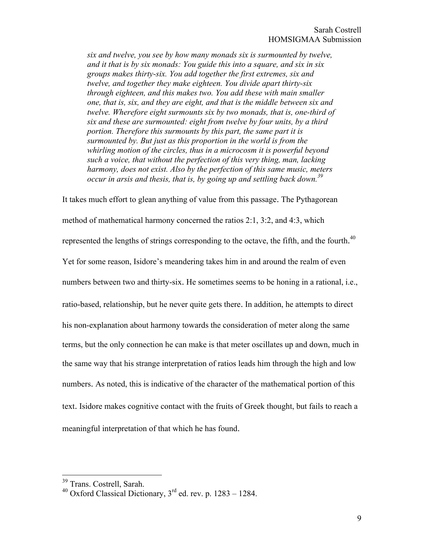*six and twelve, you see by how many monads six is surmounted by twelve, and it that is by six monads: You guide this into a square, and six in six groups makes thirty-six. You add together the first extremes, six and twelve, and together they make eighteen. You divide apart thirty-six through eighteen, and this makes two. You add these with main smaller one, that is, six, and they are eight, and that is the middle between six and twelve. Wherefore eight surmounts six by two monads, that is, one-third of six and these are surmounted: eight from twelve by four units, by a third portion. Therefore this surmounts by this part, the same part it is surmounted by. But just as this proportion in the world is from the whirling motion of the circles, thus in a microcosm it is powerful beyond such a voice, that without the perfection of this very thing, man, lacking harmony, does not exist. Also by the perfection of this same music, meters occur in arsis and thesis, that is, by going up and settling back down.39*

It takes much effort to glean anything of value from this passage. The Pythagorean method of mathematical harmony concerned the ratios 2:1, 3:2, and 4:3, which represented the lengths of strings corresponding to the octave, the fifth, and the fourth.<sup>40</sup> Yet for some reason, Isidore's meandering takes him in and around the realm of even numbers between two and thirty-six. He sometimes seems to be honing in a rational, i.e., ratio-based, relationship, but he never quite gets there. In addition, he attempts to direct his non-explanation about harmony towards the consideration of meter along the same terms, but the only connection he can make is that meter oscillates up and down, much in the same way that his strange interpretation of ratios leads him through the high and low numbers. As noted, this is indicative of the character of the mathematical portion of this text. Isidore makes cognitive contact with the fruits of Greek thought, but fails to reach a meaningful interpretation of that which he has found.

<sup>&</sup>lt;sup>39</sup> Trans. Costrell, Sarah.

<sup>&</sup>lt;sup>40</sup> Oxford Classical Dictionary,  $3<sup>rd</sup>$  ed. rev. p. 1283 – 1284.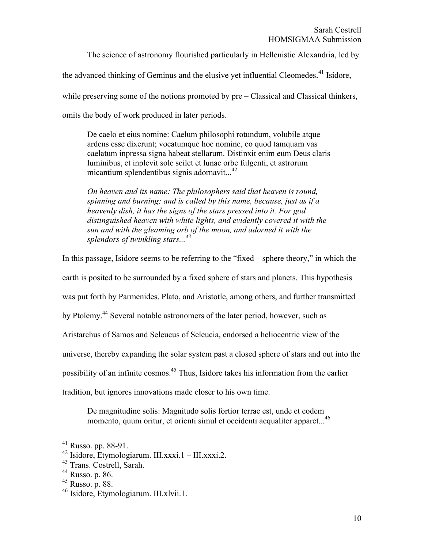The science of astronomy flourished particularly in Hellenistic Alexandria, led by

the advanced thinking of Geminus and the elusive yet influential Cleomedes.<sup>41</sup> Isidore,

while preserving some of the notions promoted by pre – Classical and Classical thinkers,

omits the body of work produced in later periods.

De caelo et eius nomine: Caelum philosophi rotundum, volubile atque ardens esse dixerunt; vocatumque hoc nomine, eo quod tamquam vas caelatum inpressa signa habeat stellarum. Distinxit enim eum Deus claris luminibus, et inplevit sole scilet et lunae orbe fulgenti, et astrorum micantium splendentibus signis adornavit...<sup>42</sup>

*On heaven and its name: The philosophers said that heaven is round, spinning and burning; and is called by this name, because, just as if a heavenly dish, it has the signs of the stars pressed into it. For god distinguished heaven with white lights, and evidently covered it with the sun and with the gleaming orb of the moon, and adorned it with the splendors of twinkling stars...43*

In this passage, Isidore seems to be referring to the "fixed – sphere theory," in which the earth is posited to be surrounded by a fixed sphere of stars and planets. This hypothesis was put forth by Parmenides, Plato, and Aristotle, among others, and further transmitted by Ptolemy.44 Several notable astronomers of the later period, however, such as Aristarchus of Samos and Seleucus of Seleucia, endorsed a heliocentric view of the universe, thereby expanding the solar system past a closed sphere of stars and out into the possibility of an infinite cosmos.<sup>45</sup> Thus, Isidore takes his information from the earlier tradition, but ignores innovations made closer to his own time.

De magnitudine solis: Magnitudo solis fortior terrae est, unde et eodem momento, quum oritur, et orienti simul et occidenti aequaliter apparet...46

 $41$  Russo. pp. 88-91.

 $^{42}$  Isidore, Etymologiarum. III.xxxi.1 – III.xxxi.2.

<sup>43</sup> Trans. Costrell, Sarah.

 $44$  Russo. p. 86.

 $45$  Russo. p. 88.

<sup>46</sup> Isidore, Etymologiarum. III.xlvii.1.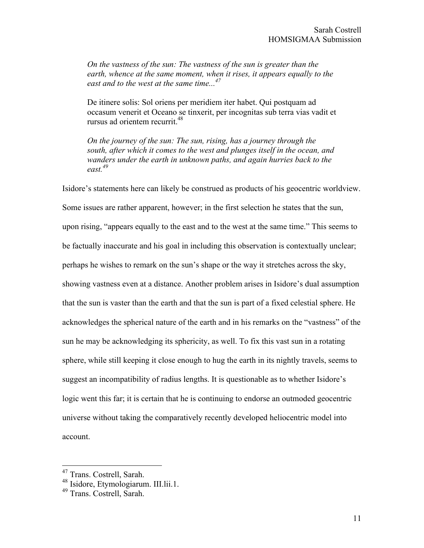*On the vastness of the sun: The vastness of the sun is greater than the earth, whence at the same moment, when it rises, it appears equally to the east and to the west at the same time...47*

De itinere solis: Sol oriens per meridiem iter habet. Qui postquam ad occasum venerit et Oceano se tinxerit, per incognitas sub terra vias vadit et rursus ad orientem recurrit.<sup>48</sup>

*On the journey of the sun: The sun, rising, has a journey through the south, after which it comes to the west and plunges itself in the ocean, and wanders under the earth in unknown paths, and again hurries back to the east.49*

Isidore's statements here can likely be construed as products of his geocentric worldview. Some issues are rather apparent, however; in the first selection he states that the sun, upon rising, "appears equally to the east and to the west at the same time." This seems to be factually inaccurate and his goal in including this observation is contextually unclear; perhaps he wishes to remark on the sun's shape or the way it stretches across the sky, showing vastness even at a distance. Another problem arises in Isidore's dual assumption that the sun is vaster than the earth and that the sun is part of a fixed celestial sphere. He acknowledges the spherical nature of the earth and in his remarks on the "vastness" of the sun he may be acknowledging its sphericity, as well. To fix this vast sun in a rotating sphere, while still keeping it close enough to hug the earth in its nightly travels, seems to suggest an incompatibility of radius lengths. It is questionable as to whether Isidore's logic went this far; it is certain that he is continuing to endorse an outmoded geocentric universe without taking the comparatively recently developed heliocentric model into account.

<sup>&</sup>lt;sup>47</sup> Trans. Costrell, Sarah.

<sup>48</sup> Isidore, Etymologiarum. III.lii.1.

<sup>49</sup> Trans. Costrell, Sarah.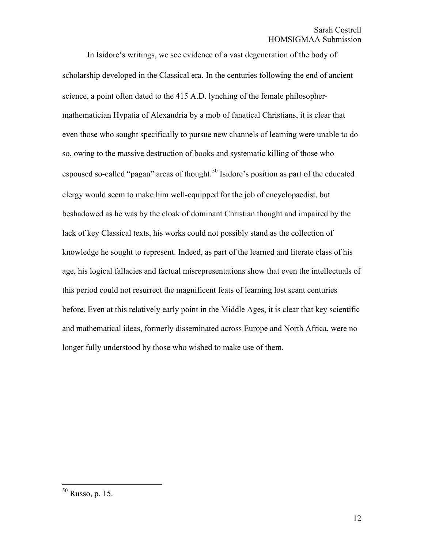In Isidore's writings, we see evidence of a vast degeneration of the body of scholarship developed in the Classical era. In the centuries following the end of ancient science, a point often dated to the 415 A.D. lynching of the female philosophermathematician Hypatia of Alexandria by a mob of fanatical Christians, it is clear that even those who sought specifically to pursue new channels of learning were unable to do so, owing to the massive destruction of books and systematic killing of those who espoused so-called "pagan" areas of thought.<sup>50</sup> Isidore's position as part of the educated clergy would seem to make him well-equipped for the job of encyclopaedist, but beshadowed as he was by the cloak of dominant Christian thought and impaired by the lack of key Classical texts, his works could not possibly stand as the collection of knowledge he sought to represent. Indeed, as part of the learned and literate class of his age, his logical fallacies and factual misrepresentations show that even the intellectuals of this period could not resurrect the magnificent feats of learning lost scant centuries before. Even at this relatively early point in the Middle Ages, it is clear that key scientific and mathematical ideas, formerly disseminated across Europe and North Africa, were no longer fully understood by those who wished to make use of them.

 <sup>50</sup> Russo, p. 15.